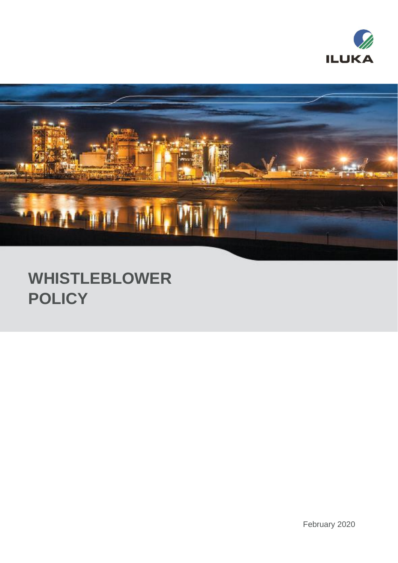



# **WHISTLEBLOWER POLICY**

February 2020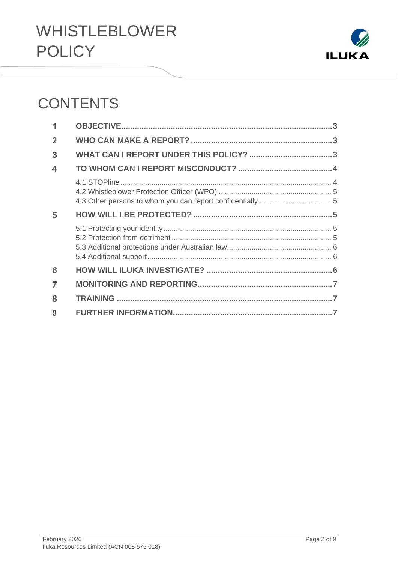

## **CONTENTS**

| 1 |  |
|---|--|
| 2 |  |
| 3 |  |
| 4 |  |
|   |  |
| 5 |  |
|   |  |
| 6 |  |
| 7 |  |
| 8 |  |
| 9 |  |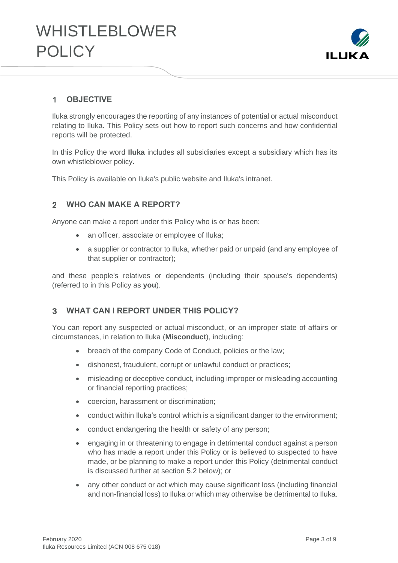

#### <span id="page-2-0"></span>**OBJECTIVE**  $\blacktriangleleft$

Iluka strongly encourages the reporting of any instances of potential or actual misconduct relating to Iluka. This Policy sets out how to report such concerns and how confidential reports will be protected.

In this Policy the word **Iluka** includes all subsidiaries except a subsidiary which has its own whistleblower policy.

This Policy is available on Iluka's public website and Iluka's intranet.

#### <span id="page-2-1"></span>**WHO CAN MAKE A REPORT?**  $2<sup>1</sup>$

Anyone can make a report under this Policy who is or has been:

- an officer, associate or employee of Iluka;
- a supplier or contractor to Iluka, whether paid or unpaid (and any employee of that supplier or contractor);

and these people's relatives or dependents (including their spouse's dependents) (referred to in this Policy as **you**).

#### <span id="page-2-2"></span> $\overline{3}$ **WHAT CAN I REPORT UNDER THIS POLICY?**

You can report any suspected or actual misconduct, or an improper state of affairs or circumstances, in relation to Iluka (**Misconduct**), including:

- breach of the company Code of Conduct, policies or the law;
- dishonest, fraudulent, corrupt or unlawful conduct or practices;
- misleading or deceptive conduct, including improper or misleading accounting or financial reporting practices;
- coercion, harassment or discrimination;
- conduct within Iluka's control which is a significant danger to the environment;
- conduct endangering the health or safety of any person;
- engaging in or threatening to engage in detrimental conduct against a person who has made a report under this Policy or is believed to suspected to have made, or be planning to make a report under this Policy (detrimental conduct is discussed further at section 5.2 below); or
- any other conduct or act which may cause significant loss (including financial and non-financial loss) to Iluka or which may otherwise be detrimental to Iluka.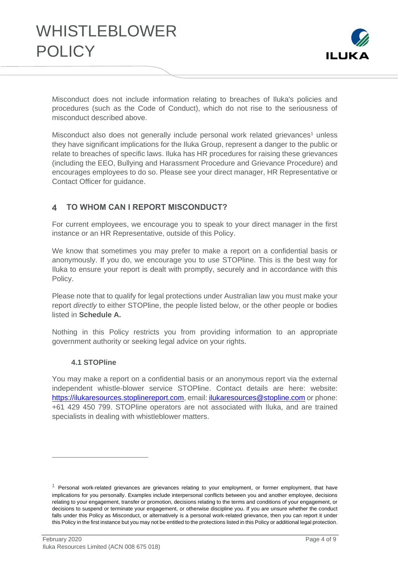

Misconduct does not include information relating to breaches of Iluka's policies and procedures (such as the Code of Conduct), which do not rise to the seriousness of misconduct described above.

Misconduct also does not generally include personal work related grievances<sup>1</sup> unless they have significant implications for the Iluka Group, represent a danger to the public or relate to breaches of specific laws. Iluka has HR procedures for raising these grievances (including the EEO, Bullying and Harassment Procedure and Grievance Procedure) and encourages employees to do so. Please see your direct manager, HR Representative or Contact Officer for guidance.

#### <span id="page-3-0"></span>**TO WHOM CAN I REPORT MISCONDUCT?**  $\blacktriangle$

For current employees, we encourage you to speak to your direct manager in the first instance or an HR Representative, outside of this Policy.

We know that sometimes you may prefer to make a report on a confidential basis or anonymously. If you do, we encourage you to use STOPline. This is the best way for Iluka to ensure your report is dealt with promptly, securely and in accordance with this Policy.

Please note that to qualify for legal protections under Australian law you must make your report *directly* to either STOPline, the people listed below, or the other people or bodies listed in **Schedule A.**

Nothing in this Policy restricts you from providing information to an appropriate government authority or seeking legal advice on your rights.

### **4.1 STOPline**

<span id="page-3-1"></span>You may make a report on a confidential basis or an anonymous report via the external independent whistle-blower service STOPline. Contact details are here: website: [https://ilukaresources.stoplinereport.com,](https://ilukaresources.stoplinereport.com/) email: [ilukaresources@stopline.com](mailto:ilukaresources@stopline.com) or phone: +61 429 450 799. STOPline operators are not associated with Iluka, and are trained specialists in dealing with whistleblower matters.

 $1$  Personal work-related grievances are grievances relating to your employment, or former employment, that have implications for you personally. Examples include interpersonal conflicts between you and another employee, decisions relating to your engagement, transfer or promotion, decisions relating to the terms and conditions of your engagement, or decisions to suspend or terminate your engagement, or otherwise discipline you. If you are unsure whether the conduct falls under this Policy as Misconduct, or alternatively is a personal work-related grievance, then you can report it under this Policy in the first instance but you may not be entitled to the protections listed in this Policy or additional legal protection.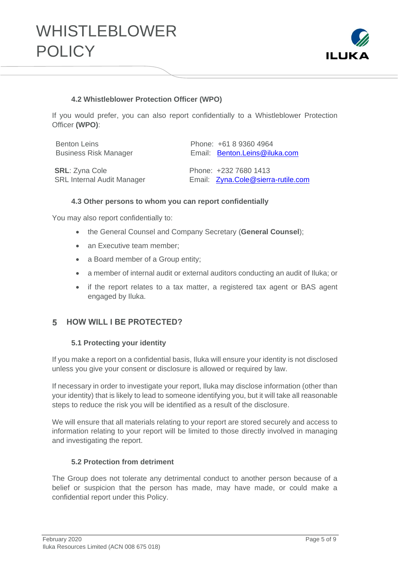

### **4.2 Whistleblower Protection Officer (WPO)**

<span id="page-4-0"></span>If you would prefer, you can also report confidentially to a Whistleblower Protection Officer **(WPO)**:

| <b>Benton Leins</b>               | Phone: +61 8 9360 4964             |
|-----------------------------------|------------------------------------|
| <b>Business Risk Manager</b>      | Email: Benton.Leins@iluka.com      |
|                                   |                                    |
| <b>SRL: Zyna Cole</b>             | Phone: +232 7680 1413              |
| <b>SRL Internal Audit Manager</b> | Email: Zyna.Cole@sierra-rutile.com |

#### <span id="page-4-1"></span>**4.3 Other persons to whom you can report confidentially**

You may also report confidentially to:

- the General Counsel and Company Secretary (**General Counsel**);
- an Executive team member:
- a Board member of a Group entity;
- a member of internal audit or external auditors conducting an audit of Iluka; or
- if the report relates to a tax matter, a registered tax agent or BAS agent engaged by Iluka.

#### <span id="page-4-3"></span><span id="page-4-2"></span>5 **HOW WILL I BE PROTECTED?**

#### **5.1 Protecting your identity**

If you make a report on a confidential basis, Iluka will ensure your identity is not disclosed unless you give your consent or disclosure is allowed or required by law.

If necessary in order to investigate your report, Iluka may disclose information (other than your identity) that is likely to lead to someone identifying you, but it will take all reasonable steps to reduce the risk you will be identified as a result of the disclosure.

We will ensure that all materials relating to your report are stored securely and access to information relating to your report will be limited to those directly involved in managing and investigating the report.

### **5.2 Protection from detriment**

<span id="page-4-4"></span>The Group does not tolerate any detrimental conduct to another person because of a belief or suspicion that the person has made, may have made, or could make a confidential report under this Policy.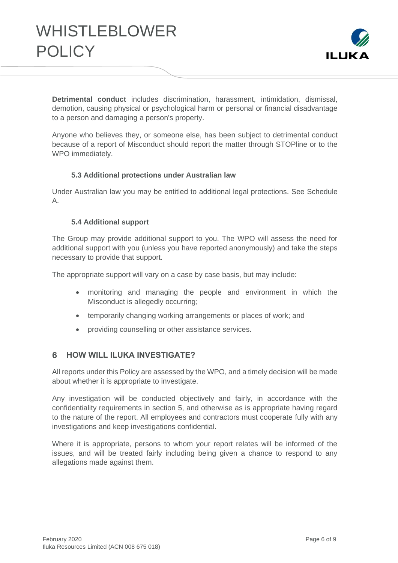

**Detrimental conduct** includes discrimination, harassment, intimidation, dismissal, demotion, causing physical or psychological harm or personal or financial disadvantage to a person and damaging a person's property.

Anyone who believes they, or someone else, has been subject to detrimental conduct because of a report of Misconduct should report the matter through STOPline or to the WPO immediately.

### **5.3 Additional protections under Australian law**

<span id="page-5-0"></span>Under Australian law you may be entitled to additional legal protections. See Schedule A.

### **5.4 Additional support**

<span id="page-5-1"></span>The Group may provide additional support to you. The WPO will assess the need for additional support with you (unless you have reported anonymously) and take the steps necessary to provide that support.

The appropriate support will vary on a case by case basis, but may include:

- monitoring and managing the people and environment in which the Misconduct is allegedly occurring;
- temporarily changing working arrangements or places of work; and
- providing counselling or other assistance services.

#### <span id="page-5-2"></span>**HOW WILL ILUKA INVESTIGATE?**  6.

All reports under this Policy are assessed by the WPO, and a timely decision will be made about whether it is appropriate to investigate.

Any investigation will be conducted objectively and fairly, in accordance with the confidentiality requirements in section [5,](#page-4-2) and otherwise as is appropriate having regard to the nature of the report. All employees and contractors must cooperate fully with any investigations and keep investigations confidential.

Where it is appropriate, persons to whom your report relates will be informed of the issues, and will be treated fairly including being given a chance to respond to any allegations made against them.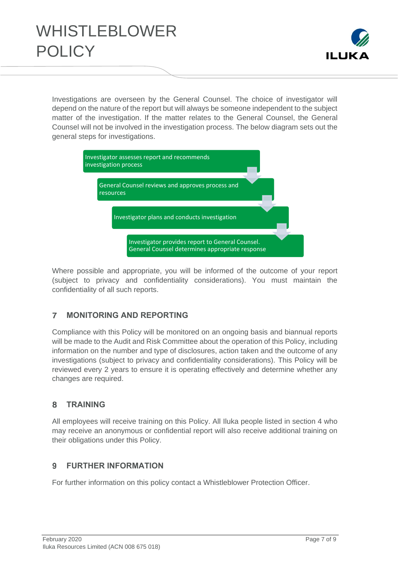

Investigations are overseen by the General Counsel. The choice of investigator will depend on the nature of the report but will always be someone independent to the subject matter of the investigation. If the matter relates to the General Counsel, the General Counsel will not be involved in the investigation process. The below diagram sets out the general steps for investigations.



Where possible and appropriate, you will be informed of the outcome of your report (subject to privacy and confidentiality considerations). You must maintain the confidentiality of all such reports.

#### <span id="page-6-0"></span> $\overline{7}$ **MONITORING AND REPORTING**

Compliance with this Policy will be monitored on an ongoing basis and biannual reports will be made to the Audit and Risk Committee about the operation of this Policy, including information on the number and type of disclosures, action taken and the outcome of any investigations (subject to privacy and confidentiality considerations). This Policy will be reviewed every 2 years to ensure it is operating effectively and determine whether any changes are required.

#### <span id="page-6-1"></span> $\mathbf{R}$ **TRAINING**

All employees will receive training on this Policy. All Iluka people listed in section [4](#page-3-0) who may receive an anonymous or confidential report will also receive additional training on their obligations under this Policy.

#### <span id="page-6-2"></span> $\overline{q}$ **FURTHER INFORMATION**

For further information on this policy contact a Whistleblower Protection Officer.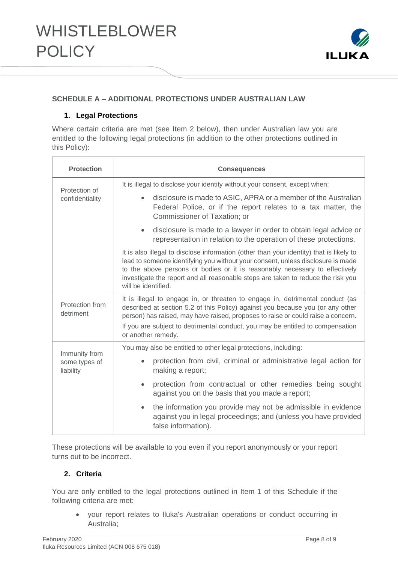

### **SCHEDULE A – ADDITIONAL PROTECTIONS UNDER AUSTRALIAN LAW**

### **1. Legal Protections**

Where certain criteria are met (see Item 2 below), then under Australian law you are entitled to the following legal protections (in addition to the other protections outlined in this Policy):

| <b>Protection</b>                           | <b>Consequences</b>                                                                                                                                                                                                                                                                                                                                                  |  |  |
|---------------------------------------------|----------------------------------------------------------------------------------------------------------------------------------------------------------------------------------------------------------------------------------------------------------------------------------------------------------------------------------------------------------------------|--|--|
| Protection of                               | It is illegal to disclose your identity without your consent, except when:                                                                                                                                                                                                                                                                                           |  |  |
| confidentiality                             | disclosure is made to ASIC, APRA or a member of the Australian<br>$\bullet$<br>Federal Police, or if the report relates to a tax matter, the<br>Commissioner of Taxation; or                                                                                                                                                                                         |  |  |
|                                             | disclosure is made to a lawyer in order to obtain legal advice or<br>$\bullet$<br>representation in relation to the operation of these protections.                                                                                                                                                                                                                  |  |  |
|                                             | It is also illegal to disclose information (other than your identity) that is likely to<br>lead to someone identifying you without your consent, unless disclosure is made<br>to the above persons or bodies or it is reasonably necessary to effectively<br>investigate the report and all reasonable steps are taken to reduce the risk you<br>will be identified. |  |  |
| Protection from<br>detriment                | It is illegal to engage in, or threaten to engage in, detrimental conduct (as<br>described at section 5.2 of this Policy) against you because you (or any other<br>person) has raised, may have raised, proposes to raise or could raise a concern.<br>If you are subject to detrimental conduct, you may be entitled to compensation<br>or another remedy.          |  |  |
|                                             | You may also be entitled to other legal protections, including:                                                                                                                                                                                                                                                                                                      |  |  |
| Immunity from<br>some types of<br>liability | protection from civil, criminal or administrative legal action for<br>making a report;                                                                                                                                                                                                                                                                               |  |  |
|                                             | protection from contractual or other remedies being sought<br>$\bullet$<br>against you on the basis that you made a report;                                                                                                                                                                                                                                          |  |  |
|                                             | the information you provide may not be admissible in evidence<br>$\bullet$<br>against you in legal proceedings; and (unless you have provided<br>false information).                                                                                                                                                                                                 |  |  |

These protections will be available to you even if you report anonymously or your report turns out to be incorrect.

### **2. Criteria**

You are only entitled to the legal protections outlined in Item 1 of this Schedule if the following criteria are met:

• your report relates to Iluka's Australian operations or conduct occurring in Australia;